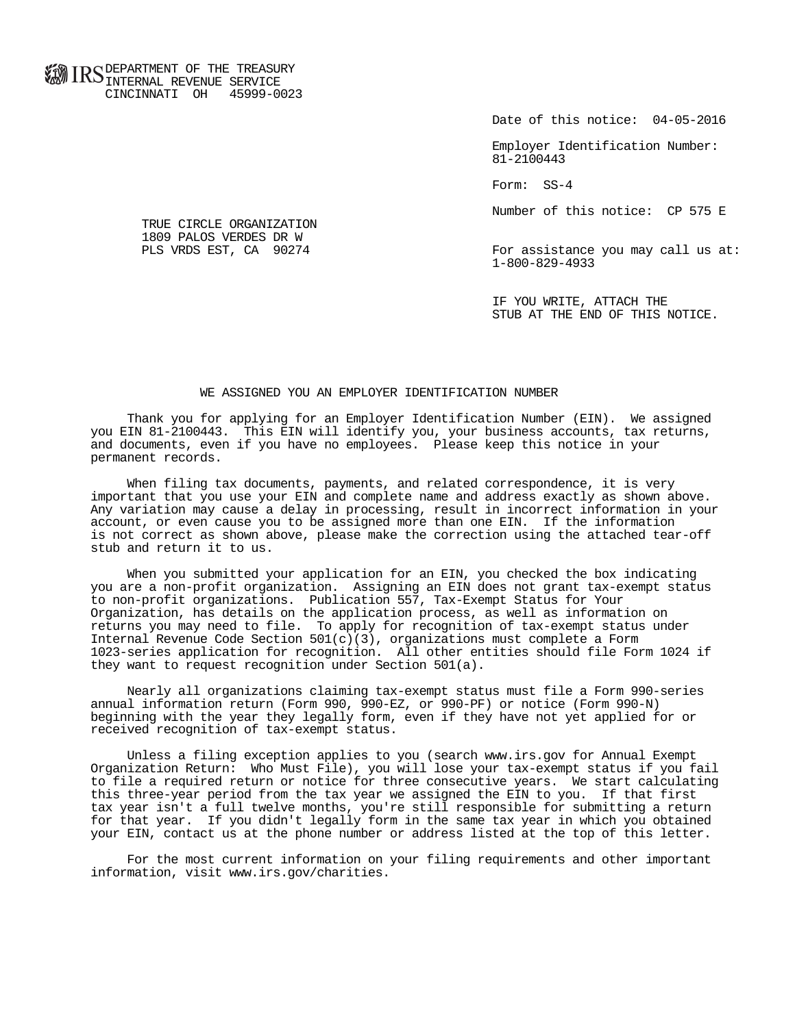**FOR ID C** DEPARTMENT OF THE TREASURY **WWW IIND** INTERNAL REVENUE SERVICE CINCINNATI OH 45999-0023

Date of this notice: 04-05-2016

 Employer Identification Number: 81-2100443

Form: SS-4

Number of this notice: CP 575 E

For assistance you may call us at: 1-800-829-4933

 IF YOU WRITE, ATTACH THE STUB AT THE END OF THIS NOTICE.

## WE ASSIGNED YOU AN EMPLOYER IDENTIFICATION NUMBER

 Thank you for applying for an Employer Identification Number (EIN). We assigned you EIN 81-2100443. This EIN will identify you, your business accounts, tax returns, and documents, even if you have no employees. Please keep this notice in your permanent records.

 When filing tax documents, payments, and related correspondence, it is very important that you use your EIN and complete name and address exactly as shown above. Any variation may cause a delay in processing, result in incorrect information in your account, or even cause you to be assigned more than one EIN. If the information is not correct as shown above, please make the correction using the attached tear-off stub and return it to us.

 When you submitted your application for an EIN, you checked the box indicating you are a non-profit organization. Assigning an EIN does not grant tax-exempt status to non-profit organizations. Publication 557, Tax-Exempt Status for Your Organization, has details on the application process, as well as information on returns you may need to file. To apply for recognition of tax-exempt status under Internal Revenue Code Section  $501(c)(3)$ , organizations must complete a Form 1023-series application for recognition. All other entities should file Form 1024 if they want to request recognition under Section 501(a).

 Nearly all organizations claiming tax-exempt status must file a Form 990-series annual information return (Form 990, 990-EZ, or 990-PF) or notice (Form 990-N) beginning with the year they legally form, even if they have not yet applied for or received recognition of tax-exempt status.

 Unless a filing exception applies to you (search www.irs.gov for Annual Exempt Organization Return: Who Must File), you will lose your tax-exempt status if you fail to file a required return or notice for three consecutive years. We start calculating this three-year period from the tax year we assigned the EIN to you. If that first tax year isn't a full twelve months, you're still responsible for submitting a return for that year. If you didn't legally form in the same tax year in which you obtained your EIN, contact us at the phone number or address listed at the top of this letter.

 For the most current information on your filing requirements and other important information, visit www.irs.gov/charities.

 TRUE CIRCLE ORGANIZATION 1809 PALOS VERDES DR W<br>PLS VRDS EST, CA 90274